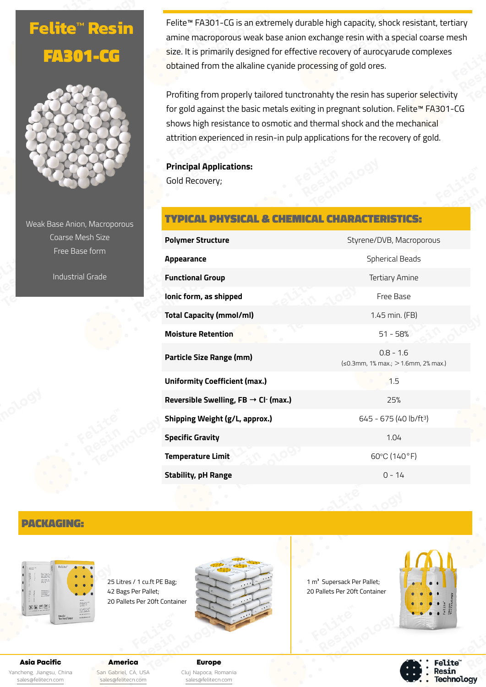# **Felite™ Resin** FA301-CG



Weak Base Anion, Macroporous Coarse Mesh Size Free Base form

Industrial Grade

Felite™ FA301-CG is an extremely durable high capacity, shock resistant, tertiary amine macroporous weak base anion exchange resin with a special coarse mesh size. It is primarily designed for effective recovery of aurocyarude complexes obtained from the alkaline cyanide processing of gold ores.

Profiting from properly tailored tunctronahty the resin has superior selectivity for gold against the basic metals exiting in pregnant solution. Felite™ FA301-CG shows high resistance to osmotic and thermal shock and the mechanical attrition experienced in resin-in pulp applications for the recovery of gold.

**Principal Applications:** Gold Recovery;

# TYPICAL PHYSICAL & CHEMICAL CHARACTERISTICS:

| <b>Polymer Structure</b>                                | Styrene/DVB, Macroporous                                    |  |
|---------------------------------------------------------|-------------------------------------------------------------|--|
| Appearance                                              | <b>Spherical Beads</b>                                      |  |
| <b>Functional Group</b>                                 | <b>Tertiary Amine</b>                                       |  |
| lonic form, as shipped                                  | Free Base                                                   |  |
| <b>Total Capacity (mmol/ml)</b>                         | 1.45 min. (FB)                                              |  |
| <b>Moisture Retention</b>                               | $51 - 58%$                                                  |  |
| <b>Particle Size Range (mm)</b>                         | $0.8 - 1.6$<br>$\leq 0.3$ mm, 1% max.; $> 1.6$ mm, 2% max.) |  |
| <b>Uniformity Coefficient (max.)</b>                    | 1.5                                                         |  |
| Reversible Swelling, FB $\rightarrow$ Cl $\cdot$ (max.) | 25%                                                         |  |
| Shipping Weight (g/L, approx.)                          | 645 - 675 (40 lb/ft <sup>3</sup> )                          |  |
| <b>Specific Gravity</b>                                 | 1.04                                                        |  |
| <b>Temperature Limit</b>                                | 60°C (140°F)                                                |  |
| <b>Stability, pH Range</b>                              | $0 - 14$                                                    |  |

## PACKAGING:



25 Litres / 1 cu.ft PE Bag; 42 Bags Per Pallet; 20 Pallets Per 20ft Container



1 m<sup>3</sup> Supersack Per Pallet; 20 Pallets Per 20ft Container



**Felite** Resin **Technology** 

Asia Pacific Yancheng, Jiangsu, China [sales@felitecn.com](mailto:sales@felitecn.com)

America San Gabriel, CA, USA [sales@felitecn.com](mailto:sales@felitecn.com)

Europe Cluj Napoca, Romania [sales@felitecn.com](mailto:sales@felitecn.com)